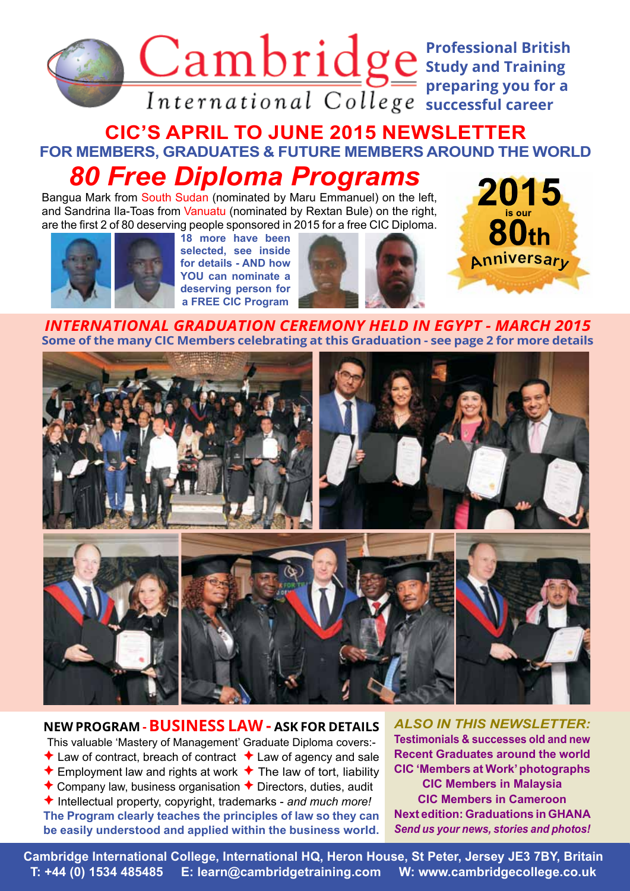

## **CIC'S APRIL TO JUNE 2015 NEWSLETTER FOR MEMBERS, GRADUATES & FUTURE MEMBERS AROUND THE WORLD** *80 Free Diploma Programs*

Bangua Mark from South Sudan (nominated by Maru Emmanuel) on the left, and Sandrina Ila-Toas from Vanuatu (nominated by Rextan Bule) on the right, are the first 2 of 80 deserving people sponsored in 2015 for a free CIC Diploma.



**18 more have been selected, see inside for details - AND how YOU can nominate a deserving person for a FREE CIC Program**





*INTERNATIONAL GRADUATION CEREMONY HELD IN EGYPT - MARCH 2015* **Some of the many CIC Members celebrating at this Graduation - see page 2 for more details**



#### **NEW PROGRAM -BUSINESS LAW - ASK FOR DETAILS**

This valuable 'Mastery of Management' Graduate Diploma covers:-

- $\triangle$  Law of contract, breach of contract  $\triangle$  Law of agency and sale
- $\triangle$  Employment law and rights at work  $\triangle$  The law of tort, liability
- Company law, business organisation  $\bigstar$  Directors, duties, audit

 Intellectual property, copyright, trademarks - *and much more!* **The Program clearly teaches the principles of law so they can be easily understood and applied within the business world.**

*ALSO IN THIS NEWSLETTER:* **Testimonials & successes old and new Recent Graduates around the world CIC 'Members at Work' photographs CIC Members in Malaysia CIC Members in Cameroon Next edition: Graduations in GHANA** *Send us your news, stories and photos!*

 CIC News 47 1 **T: +44 (0) 1534 485485 E: learn@cambridgetraining.com W: www.cambridgecollege.co.uk** Cambridge International College, International HQ, Heron House, St Peter, Jersey JE3 7BY, Britain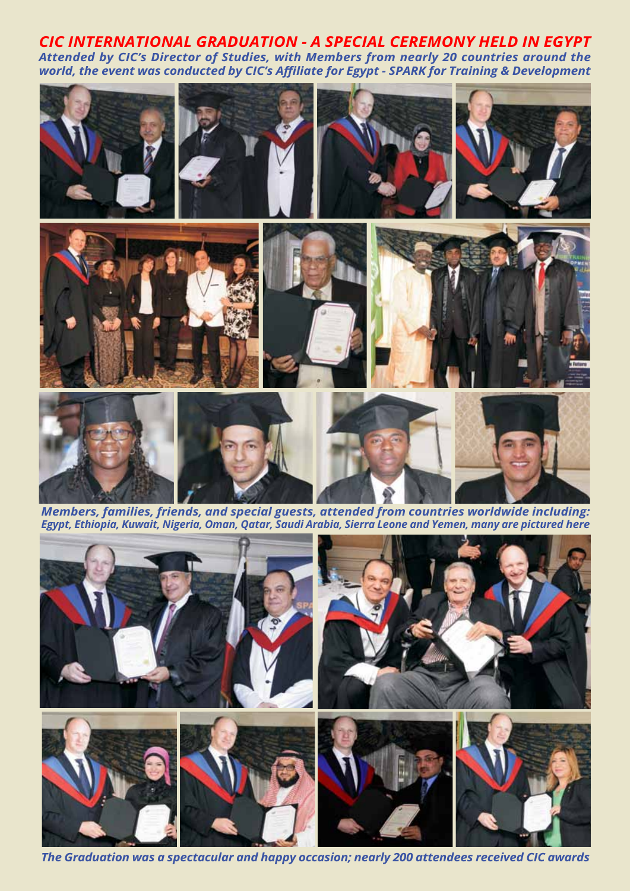*CIC INTERNATIONAL GRADUATION - A SPECIAL CEREMONY HELD IN EGYPT Attended by CIC's Director of Studies, with Members from nearly 20 countries around the world, the event was conducted by CIC's Affiliate for Egypt - SPARK for Training & Development*



*Members, families, friends, and special guests, attended from countries worldwide including: Egypt, Ethiopia, Kuwait, Nigeria, Oman, Qatar, Saudi Arabia, Sierra Leone and Yemen, many are pictured here*



The Graduation was a spectacular and happy occasion; nearly 200 attendees received CIC awards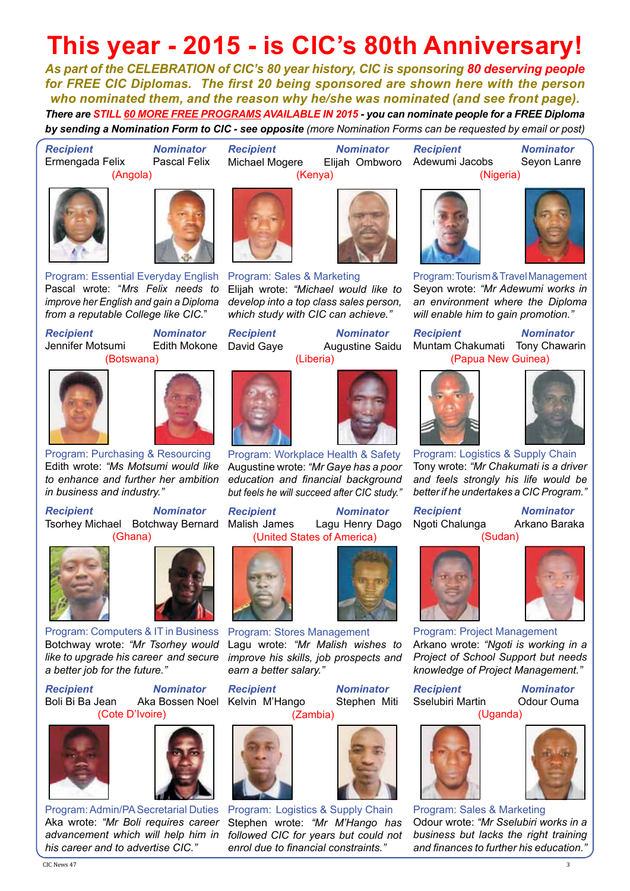# **This year - 2015 - is CIC's 80th Anniversary!**

*As part of the CELEBRATION of CIC's 80 year history, CIC is sponsoring 80 deserving people for FREE CIC Diplomas. The first 20 being sponsored are shown here with the person who nominated them, and the reason why he/she was nominated (and see front page). There are STILL 60 MORE FREE PROGRAMS AVAILABLE IN 2015 - you can nominate people for a FREE Diploma by sending a Nomination Form to CIC - see opposite (more Nomination Forms can be requested by email or post)*

*Recipient Nominator*

(Kenya)

*Recipient Nominator* Ermengada Felix







Program: Essential Everyday English Pascal wrote: "*Mrs Felix needs to improve her English and gain a Diploma from a reputable College like CIC.*"

Jennifer Motsumi

**Recipient Mominator<br>
Jennifer Motsumi** Edith Mokone (Botswana)





Program: Purchasing & Resourcing Edith wrote: *"Ms Motsumi would like to enhance and further her ambition in business and industry."*

*Recipient Nominator* Tsorhey Michael Botchway Bernard (Ghana)





*Recipient Nominator* Aka Bossen Noel (Cote D'Ivoire)





Program: Admin/PA Secretarial Duties Aka wrote: *"Mr Boli requires career advancement which will help him in his career and to advertise CIC."*



Program: Sales & Marketing Elijah wrote: *"Michael would like to develop into a top class sales person, which study with CIC can achieve."*

*Recipient Nominator* Augustine Saidu (Liberia)



Program: Workplace Health & Safety Augustine wrote: *"Mr Gaye has a poor education and financial background but feels he will succeed after CIC study."*

*Recipient Nominator* Malish James Lagu Henry Dago (United States of America)



Program: Stores Management Lagu wrote: *"Mr Malish wishes to improve his skills, job prospects and earn a better salary."*

**Recipient Mominator<br>
Kelvin M'Hango Stephen Miti** Kelvin M'Hango (Zambia)



Program: Logistics & Supply Chain Stephen wrote: *"Mr M'Hango has followed CIC for years but could not enrol due to financial constraints."*

Michael Mogere Elijah Ombworo *Recipient Nominator* Adewumi Jacobs Seyon Lanre







Program: Tourism & Travel Management Seyon wrote: *"Mr Adewumi works in an environment where the Diploma will enable him to gain promotion."*

*Recipient Nominator* Muntam Chakumati Tony Chawarin (Papua New Guinea)





Program: Logistics & Supply Chain Tony wrote: *"Mr Chakumati is a driver and feels strongly his life would be better if he undertakes a CIC Program."*

*Recipient Nominator* Ngoti Chalunga Arkano Baraka





Program: Project Management Arkano wrote: *"Ngoti is working in a Project of School Support but needs knowledge of Project Management."*

**Recipient Mominator<br>
Sselubiri Martin Colour Ouma** Sselubiri Martin

(Uganda)





Program: Sales & Marketing Odour wrote: *"Mr Sselubiri works in a business but lacks the right training and finances to further his education."*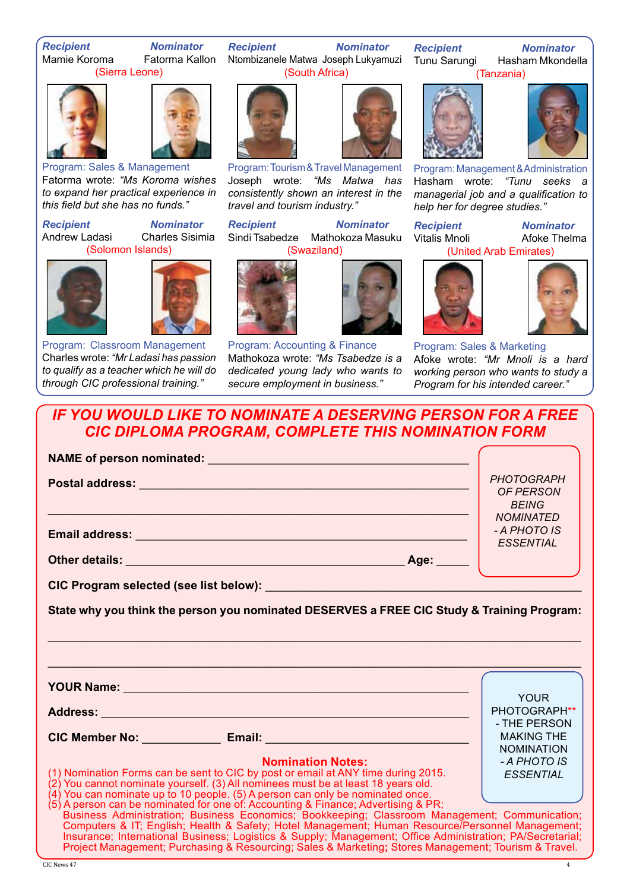*Recipient Nominator* Fatorma Kallon

(Sierra Leone)





Program: Sales & Management Fatorma wrote: *"Ms Koroma wishes to expand her practical experience in this field but she has no funds."*

*Recipient Nominator* Andrew Ladasi Charles Sisimia (Solomon Islands)





Program: Classroom Management Charles wrote: *"Mr Ladasi has passion to qualify as a teacher which he will do through CIC professional training."*

*Recipient Nominator* Ntombizanele Matwa Joseph Lukyamuzi (South Africa)



Program: Tourism & Travel Management Joseph wrote: *"Ms Matwa has consistently shown an interest in the travel and tourism industry."*

*Recipient Nominator* Sindi Tsabedze Mathokoza Masuku (Swaziland)



Program: Accounting & Finance Mathokoza wrote: *"Ms Tsabedze is a dedicated young lady who wants to secure employment in business."*



**Recipient Mominator<br>Tunu Sarungi Hasham Mkonde** Hasham Mkondella

(Tanzania)



Program: Management & Administration Hasham wrote: *"Tunu seeks a managerial job and a qualification to help her for degree studies."*

*Recipient Nominator*

Afoke Thelma (United Arab Emirates)





Program: Sales & Marketing Afoke wrote: *"Mr Mnoli is a hard working person who wants to study a Program for his intended career."*

*IF YOU WOULD LIKE TO NOMINATE A DESERVING PERSON FOR A FREE CIC DIPLOMA PROGRAM, COMPLETE THIS NOMINATION FORM*

|                                                                                                                                                                                                                                | <b>PHOTOGRAPH</b><br><b>OF PERSON</b>  |
|--------------------------------------------------------------------------------------------------------------------------------------------------------------------------------------------------------------------------------|----------------------------------------|
|                                                                                                                                                                                                                                | <b>BEING</b>                           |
|                                                                                                                                                                                                                                | <b>NOMINATED</b><br>- A PHOTO IS       |
|                                                                                                                                                                                                                                | <b>ESSENTIAL</b>                       |
| CIC Program selected (see list below): Note and the control of the control of the control of the control of the control of the control of the control of the control of the control of the control of the control of the contr |                                        |
| State why you think the person you nominated DESERVES a FREE CIC Study & Training Program:                                                                                                                                     |                                        |
|                                                                                                                                                                                                                                |                                        |
|                                                                                                                                                                                                                                |                                        |
| YOUR Name: Note and the second contract of the second contract of the second contract of the second contract of the second contract of the second contract of the second contract of the second contract of the second contrac |                                        |
|                                                                                                                                                                                                                                | <b>YOUR</b><br>PHOTOGRAPH**            |
|                                                                                                                                                                                                                                | - THE PERSON                           |
|                                                                                                                                                                                                                                | <b>MAKING THE</b><br><b>NOMINATION</b> |
| <b>Nomination Notes:</b>                                                                                                                                                                                                       | - A PHOTO IS                           |
| (1) Nomination Forms can be sent to CIC by post or email at ANY time during 2015.<br>(2) You cannot nominate yourself. (3) All nominees must be at least 18 years old.                                                         | <b>ESSENTIAL</b>                       |
| (4) You can nominate up to 10 people. (5) A person can only be nominated once.                                                                                                                                                 |                                        |
| (5) A person can be nominated for one of: Accounting & Finance; Advertising & PR;<br>Business Administration; Business Economics; Bookkeeping; Classroom Management; Communication;                                            |                                        |
| Computers & IT; English; Health & Safety; Hotel Management; Human Resource/Personnel Management;                                                                                                                               |                                        |
| Insurance; International Business; Logistics & Supply; Management; Office Administration; PA/Secretarial;<br>Project Management; Purchasing & Resourcing; Sales & Marketing; Stores Management; Tourism & Travel.              |                                        |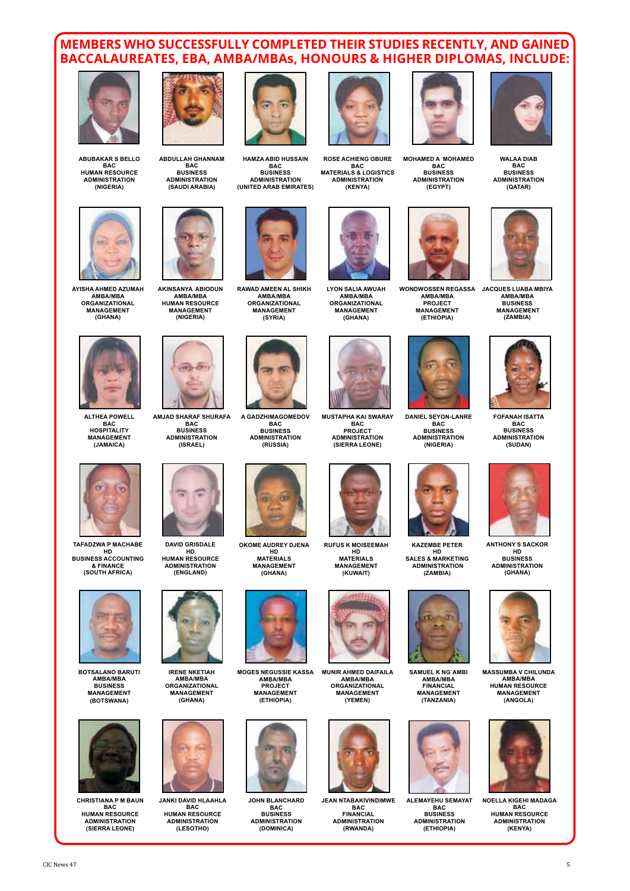#### **MEMBERS WHO SUCCESSFULLY COMPLETED THEIR STUDIES RECENTLY, AND GAINED BACCALAUREATES, EBA, AMBA/MBAs, HONOURS & HIGHER DIPLOMAS, INCLUDE:**



**ABUBAKAR S BELLO BAC HUMAN RESOURCE ADMINISTRATION (NIGERIA)**



**AYISHA AHMED AZUMAH AMBA/MBA ORGANIZATIONAL MANAGEMENT (GHANA)**



**ALTHEA POWELL BAC HOSPITALITY MANAGEMENT (JAMAICA)**



**TAFADZWA P MACHABE HD BUSINESS ACCOUNTING & FINANCE (SOUTH AFRICA)**



**BOTSALANO BARUTI AMBA/MBA BUSINESS MANAGEMENT (BOTSWANA)**



**CHRISTIANA P M BAUN BAC HUMAN RESOURCE ADMINISTRATION (SIERRA LEONE)**



**ABDULLAH GHANNAM BAC BUSINESS ADMINISTRATION (SAUDI ARABIA)**



**AKINSANYA ABIODUN AMBA/MBA HUMAN RESOURCE MANAGEMENT (NIGERIA)**



**AMJAD SHARAF SHURAFA BAC BUSINESS ADMINISTRATION (ISRAEL)**



**DAVID GRISDALE HD HUMAN RESOURCE ADMINISTRATION (ENGLAND)**



**IRENE NKETIAH AMBA/MBA ORGANIZATIONAL MANAGEMENT (GHANA)**



**JANKI DAVID HLAAHLA BAC HUMAN RESOURCE ADMINISTRATION (LESOTHO)**



**HAMZA ABID HUSSAIN BAC BUSINESS ADMINISTRATION (UNITED ARAB EMIRATES)**



**RAWAD AMEEN AL SHIKH AMBA/MBA ORGANIZATIONAL MANAGEMENT (SYRIA)**



**A GADZHIMAGOMEDOV BAC BUSINESS ADMINISTRATION (RUSSIA)**



**OKOME AUDREY DJENA HD MATERIALS MANAGEMENT (GHANA)**



**MOGES NEGUSSIE KASSA AMBA/MBA PROJECT MANAGEMENT (ETHIOPIA)**



**JOHN BLANCHARD BAC BUSINESS ADMINISTRATION (DOMINICA)**



**ROSE ACHIENG OBURE BAC MATERIALS & LOGISTICS ADMINISTRATION (KENYA)**



**LYON SALIA AWUAH AMBA/MBA ORGANIZATIONAL MANAGEMENT (GHANA)**



**MUSTAPHA KAI SWARAY BAC PROJECT ADMINISTRATION (SIERRA LEONE)**



**RUFUS K MOISEEMAH HD MATERIALS MANAGEMENT (KUWAIT)**





**JEAN NTABAKIVINDIMWE BAC FINANCIAL ADMINISTRATION (RWANDA)**



**MOHAMED A MOHAMED BAC BUSINESS ADMINISTRATION (EGYPT)**



**WONDWOSSEN REGASSA AMBA/MBA JACQUES LUABA MBIYA AMBA/MBA PROJECT MANAGEMENT (ETHIOPIA)**



**DANIEL SEYON-LANRE BAC BUSINESS ADMINISTRATION (NIGERIA)**



**KAZEMBE PETER HD SALES & MARKETING ADMINISTRATION (ZAMBIA)**



**SAMUEL K NG`AMBI AMBA/MBA FINANCIAL MANAGEMENT (TANZANIA)**



**ALEMAYEHU SEMAYAT BAC BUSINESS ADMINISTRATION (ETHIOPIA)**



**WALAA DIAB BAC BUSINESS ADMINISTRATION (QATAR)**



**BUSINESS MANAGEMENT (ZAMBIA)**



**FOFANAH ISATTA BAC BUSINESS ADMINISTRATION (SUDAN)**



**ANTHONY S SACKOR HD BUSINESS ADMINISTRATION (GHANA)**



**MASSUMBA V CHILUNDA AMBA/MBA HUMAN RESOURCE MANAGEMENT (ANGOLA)**



**NOELLA KIGEHI MADAGA BAC HUMAN RESOURCE ADMINISTRATION (KENYA)**

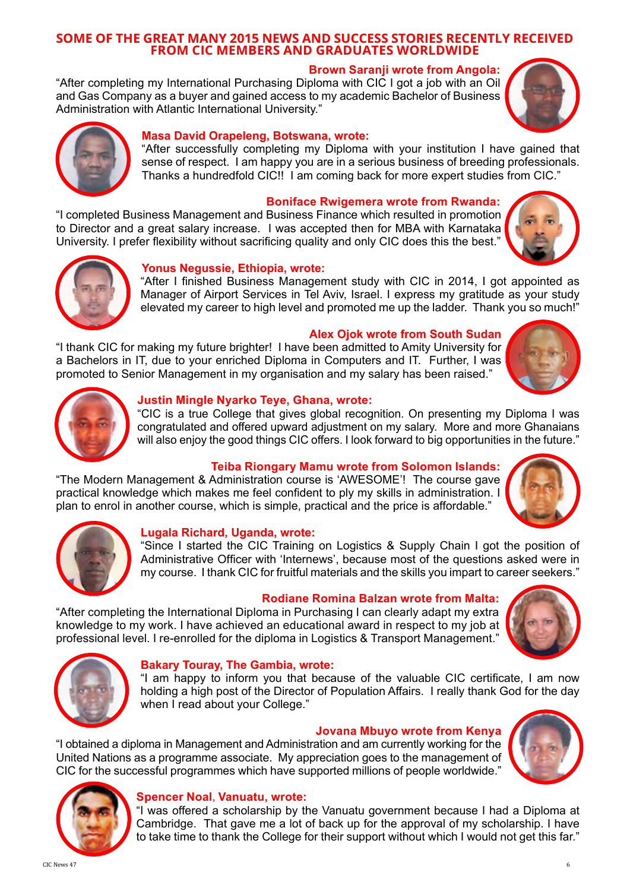#### **SOME OF THE GREAT MANY 2015 NEWS AND SUCCESS STORIES RECENTLY RECEIVED FROM CIC MEMBERS AND GRADUATES WORLDWIDE**

#### **Brown Saranji wrote from Angola:**

"After completing my International Purchasing Diploma with CIC I got a job with an Oil and Gas Company as a buyer and gained access to my academic Bachelor of Business Administration with Atlantic International University."

#### **Masa David Orapeleng, Botswana, wrote:**

"After successfully completing my Diploma with your institution I have gained that sense of respect. I am happy you are in a serious business of breeding professionals. Thanks a hundredfold CIC!! I am coming back for more expert studies from CIC."

#### **Boniface Rwigemera wrote from Rwanda:**

"I completed Business Management and Business Finance which resulted in promotion to Director and a great salary increase. I was accepted then for MBA with Karnataka University. I prefer flexibility without sacrificing quality and only CIC does this the best."

#### **Yonus Negussie, Ethiopia, wrote:**

"After I finished Business Management study with CIC in 2014, I got appointed as Manager of Airport Services in Tel Aviv, Israel. I express my gratitude as your study elevated my career to high level and promoted me up the ladder. Thank you so much!"

#### **Alex Ojok wrote from South Sudan**

"I thank CIC for making my future brighter! I have been admitted to Amity University for a Bachelors in IT, due to your enriched Diploma in Computers and IT. Further, I was promoted to Senior Management in my organisation and my salary has been raised."

#### **Justin Mingle Nyarko Teye, Ghana, wrote:**

"CIC is a true College that gives global recognition. On presenting my Diploma I was congratulated and offered upward adjustment on my salary. More and more Ghanaians will also enjoy the good things CIC offers. I look forward to big opportunities in the future."

#### **Teiba Riongary Mamu wrote from Solomon Islands:**

"The Modern Management & Administration course is 'AWESOME'! The course gave practical knowledge which makes me feel confident to ply my skills in administration. I plan to enrol in another course, which is simple, practical and the price is affordable."

#### **Lugala Richard, Uganda, wrote:**

"Since I started the CIC Training on Logistics & Supply Chain I got the position of Administrative Officer with 'Internews', because most of the questions asked were in my course. I thank CIC for fruitful materials and the skills you impart to career seekers."

#### **Rodiane Romina Balzan wrote from Malta:**

"After completing the International Diploma in Purchasing I can clearly adapt my extra knowledge to my work. I have achieved an educational award in respect to my job at professional level. I re-enrolled for the diploma in Logistics & Transport Management."

#### **Bakary Touray, The Gambia, wrote:**

"I am happy to inform you that because of the valuable CIC certificate, I am now holding a high post of the Director of Population Affairs. I really thank God for the day when I read about your College."

#### **Jovana Mbuyo wrote from Kenya**

"I obtained a diploma in Management and Administration and am currently working for the United Nations as a programme associate. My appreciation goes to the management of CIC for the successful programmes which have supported millions of people worldwide."

#### **Spencer Noal**, **Vanuatu, wrote:**

"I was offered a scholarship by the Vanuatu government because I had a Diploma at Cambridge. That gave me a lot of back up for the approval of my scholarship. I have to take time to thank the College for their support without which I would not get this far."

















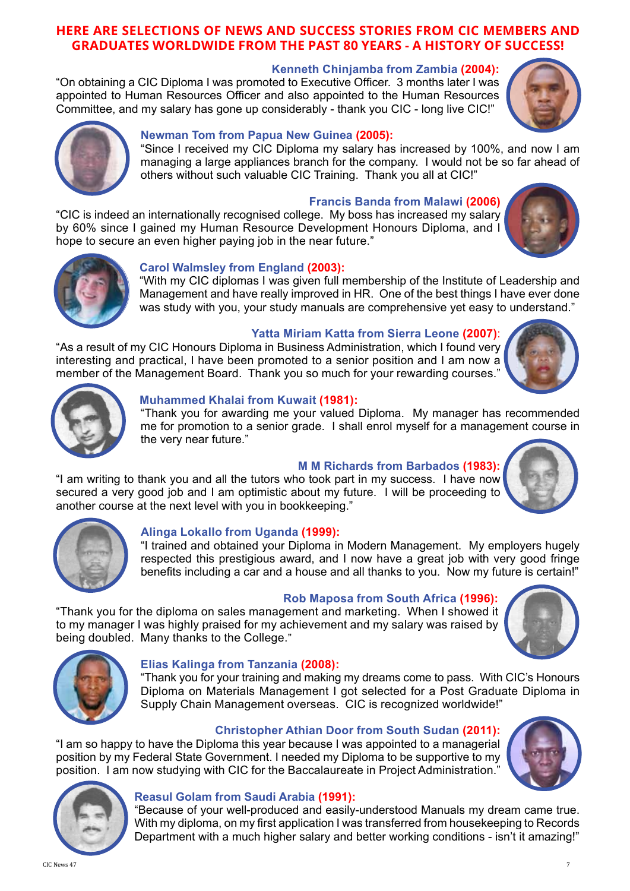#### **HERE ARE SELECTIONS OF NEWS AND SUCCESS STORIES FROM CIC MEMBERS AND GRADUATES WORLDWIDE FROM THE PAST 80 YEARS - A HISTORY OF SUCCESS!**

#### **Kenneth Chinjamba from Zambia (2004):**

"On obtaining a CIC Diploma I was promoted to Executive Officer. 3 months later I was appointed to Human Resources Officer and also appointed to the Human Resources Committee, and my salary has gone up considerably - thank you CIC - long live CIC!"

#### **Newman Tom from Papua New Guinea (2005):**

"Since I received my CIC Diploma my salary has increased by 100%, and now I am managing a large appliances branch for the company. I would not be so far ahead of others without such valuable CIC Training. Thank you all at CIC!"

#### **Francis Banda from Malawi (2006)**

"CIC is indeed an internationally recognised college. My boss has increased my salary by 60% since I gained my Human Resource Development Honours Diploma, and I hope to secure an even higher paying job in the near future."

#### **Carol Walmsley from England (2003):**

"With my CIC diplomas I was given full membership of the Institute of Leadership and Management and have really improved in HR. One of the best things I have ever done was study with you, your study manuals are comprehensive yet easy to understand."

#### **Yatta Miriam Katta from Sierra Leone (2007)**:

"As a result of my CIC Honours Diploma in Business Administration, which I found very interesting and practical, I have been promoted to a senior position and I am now a member of the Management Board. Thank you so much for your rewarding courses."

#### **Muhammed Khalai from Kuwait (1981):**

"Thank you for awarding me your valued Diploma. My manager has recommended me for promotion to a senior grade. I shall enrol myself for a management course in the very near future."

#### **M M Richards from Barbados (1983):**

"I am writing to thank you and all the tutors who took part in my success. I have now secured a very good job and I am optimistic about my future. I will be proceeding to another course at the next level with you in bookkeeping."

#### **Alinga Lokallo from Uganda (1999):**

"I trained and obtained your Diploma in Modern Management. My employers hugely respected this prestigious award, and I now have a great job with very good fringe benefits including a car and a house and all thanks to you. Now my future is certain!"

#### **Rob Maposa from South Africa (1996):**

"Thank you for the diploma on sales management and marketing. When I showed it to my manager I was highly praised for my achievement and my salary was raised by being doubled. Many thanks to the College."

#### **Elias Kalinga from Tanzania (2008):**

"Thank you for your training and making my dreams come to pass. With CIC's Honours Diploma on Materials Management I got selected for a Post Graduate Diploma in Supply Chain Management overseas. CIC is recognized worldwide!"

#### **Christopher Athian Door from South Sudan (2011):**

"I am so happy to have the Diploma this year because I was appointed to a managerial position by my Federal State Government. I needed my Diploma to be supportive to my position. I am now studying with CIC for the Baccalaureate in Project Administration."

#### **Reasul Golam from Saudi Arabia (1991):**

"Because of your well-produced and easily-understood Manuals my dream came true. With my diploma, on my first application I was transferred from housekeeping to Records Department with a much higher salary and better working conditions - isn't it amazing!"